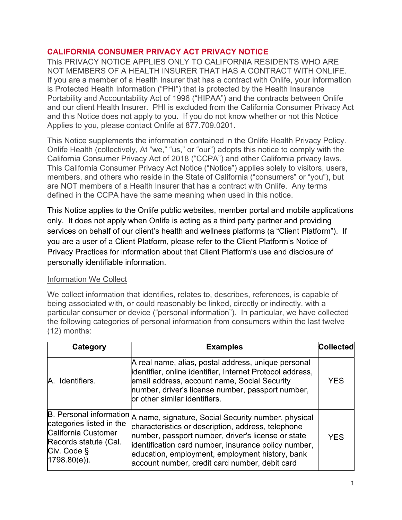### CALIFORNIA CONSUMER PRIVACY ACT PRIVACY NOTICE

This PRIVACY NOTICE APPLIES ONLY TO CALIFORNIA RESIDENTS WHO ARE NOT MEMBERS OF A HEALTH INSURER THAT HAS A CONTRACT WITH ONLIFE. If you are a member of a Health Insurer that has a contract with Onlife, your information is Protected Health Information ("PHI") that is protected by the Health Insurance Portability and Accountability Act of 1996 ("HIPAA") and the contracts between Onlife and our client Health Insurer. PHI is excluded from the California Consumer Privacy Act and this Notice does not apply to you. If you do not know whether or not this Notice Applies to you, please contact Onlife at 877.709.0201.

This Notice supplements the information contained in the Onlife Health Privacy Policy. Onlife Health (collectively, At "we," "us," or "our") adopts this notice to comply with the California Consumer Privacy Act of 2018 ("CCPA") and other California privacy laws. This California Consumer Privacy Act Notice ("Notice") applies solely to visitors, users, members, and others who reside in the State of California ("consumers" or "you"), but are NOT members of a Health Insurer that has a contract with Onlife. Any terms defined in the CCPA have the same meaning when used in this notice.

This Notice applies to the Onlife public websites, member portal and mobile applications only. It does not apply when Onlife is acting as a third party partner and providing services on behalf of our client's health and wellness platforms (a "Client Platform"). If you are a user of a Client Platform, please refer to the Client Platform's Notice of Privacy Practices for information about that Client Platform's use and disclosure of personally identifiable information.

## Information We Collect

We collect information that identifies, relates to, describes, references, is capable of being associated with, or could reasonably be linked, directly or indirectly, with a particular consumer or device ("personal information"). In particular, we have collected the following categories of personal information from consumers within the last twelve (12) months:

| Category                                                                                                   | <b>Examples</b>                                                                                                                                                                                                                                                                                                                                              | <b>Collected</b> |
|------------------------------------------------------------------------------------------------------------|--------------------------------------------------------------------------------------------------------------------------------------------------------------------------------------------------------------------------------------------------------------------------------------------------------------------------------------------------------------|------------------|
| A. Identifiers.                                                                                            | A real name, alias, postal address, unique personal<br>identifier, online identifier, Internet Protocol address,<br>email address, account name, Social Security<br>number, driver's license number, passport number,<br>or other similar identifiers.                                                                                                       | <b>YES</b>       |
| categories listed in the<br>California Customer<br>Records statute (Cal.<br>Civ. Code §<br>$1798.80(e)$ ). | $ B$ . Personal information $ A $ name, signature, Social Security number, physical<br>characteristics or description, address, telephone<br>number, passport number, driver's license or state<br>identification card number, insurance policy number,<br>education, employment, employment history, bank<br>account number, credit card number, debit card | <b>YFS</b>       |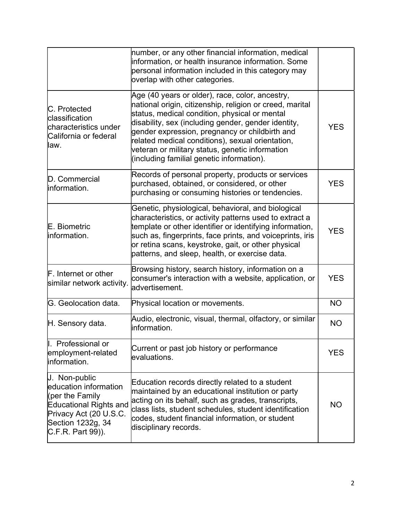|                                                                                                                                                         | number, or any other financial information, medical<br>information, or health insurance information. Some<br>personal information included in this category may<br>overlap with other categories.                                                                                                                                                                                                                         |            |
|---------------------------------------------------------------------------------------------------------------------------------------------------------|---------------------------------------------------------------------------------------------------------------------------------------------------------------------------------------------------------------------------------------------------------------------------------------------------------------------------------------------------------------------------------------------------------------------------|------------|
| C. Protected<br>classification<br>characteristics under<br>California or federal<br>llaw.                                                               | Age (40 years or older), race, color, ancestry,<br>national origin, citizenship, religion or creed, marital<br>status, medical condition, physical or mental<br>disability, sex (including gender, gender identity,<br>gender expression, pregnancy or childbirth and<br>related medical conditions), sexual orientation,<br>veteran or military status, genetic information<br>(including familial genetic information). | <b>YES</b> |
| D. Commercial<br>linformation.                                                                                                                          | Records of personal property, products or services<br>purchased, obtained, or considered, or other<br>purchasing or consuming histories or tendencies.                                                                                                                                                                                                                                                                    | <b>YES</b> |
| E. Biometric<br>information.                                                                                                                            | Genetic, physiological, behavioral, and biological<br>characteristics, or activity patterns used to extract a<br>template or other identifier or identifying information,<br>such as, fingerprints, face prints, and voiceprints, iris<br>or retina scans, keystroke, gait, or other physical<br>patterns, and sleep, health, or exercise data.                                                                           | <b>YES</b> |
| F. Internet or other<br>similar network activity.                                                                                                       | Browsing history, search history, information on a<br>consumer's interaction with a website, application, or<br>ladvertisement.                                                                                                                                                                                                                                                                                           | <b>YES</b> |
| G. Geolocation data.                                                                                                                                    | Physical location or movements.                                                                                                                                                                                                                                                                                                                                                                                           | <b>NO</b>  |
| H. Sensory data.                                                                                                                                        | Audio, electronic, visual, thermal, olfactory, or similar<br>linformation.                                                                                                                                                                                                                                                                                                                                                | <b>NO</b>  |
| II. Professional or<br>employment-related<br>information.                                                                                               | Current or past job history or performance<br>evaluations.                                                                                                                                                                                                                                                                                                                                                                | <b>YES</b> |
| J. Non-public<br>education information<br>(per the Family<br>Educational Rights and<br>Privacy Act (20 U.S.C.<br>Section 1232g, 34<br>C.F.R. Part 99)). | Education records directly related to a student<br>maintained by an educational institution or party<br>acting on its behalf, such as grades, transcripts,<br>class lists, student schedules, student identification<br>codes, student financial information, or student<br>disciplinary records.                                                                                                                         | <b>NO</b>  |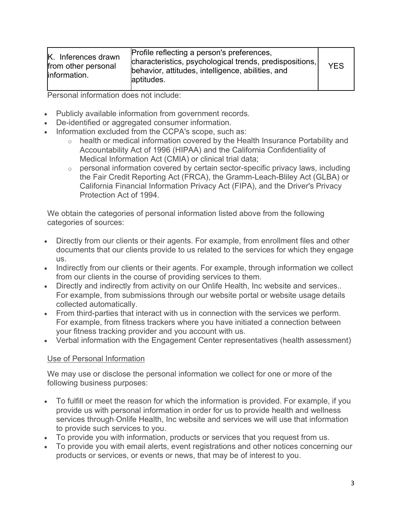| K. Inferences drawn<br>from other personal<br>linformation. | Profile reflecting a person's preferences,<br>characteristics, psychological trends, predispositions,<br>behavior, attitudes, intelligence, abilities, and<br>aptitudes. | <b>YES</b> |
|-------------------------------------------------------------|--------------------------------------------------------------------------------------------------------------------------------------------------------------------------|------------|
|-------------------------------------------------------------|--------------------------------------------------------------------------------------------------------------------------------------------------------------------------|------------|

Personal information does not include:

- Publicly available information from government records.
- De-identified or aggregated consumer information.
- Information excluded from the CCPA's scope, such as:
	- o health or medical information covered by the Health Insurance Portability and Accountability Act of 1996 (HIPAA) and the California Confidentiality of Medical Information Act (CMIA) or clinical trial data;
	- $\circ$  personal information covered by certain sector-specific privacy laws, including the Fair Credit Reporting Act (FRCA), the Gramm-Leach-Bliley Act (GLBA) or California Financial Information Privacy Act (FIPA), and the Driver's Privacy Protection Act of 1994.

We obtain the categories of personal information listed above from the following categories of sources:

- Directly from our clients or their agents. For example, from enrollment files and other documents that our clients provide to us related to the services for which they engage us.
- Indirectly from our clients or their agents. For example, through information we collect from our clients in the course of providing services to them.
- Directly and indirectly from activity on our Onlife Health, Inc website and services.. For example, from submissions through our website portal or website usage details collected automatically.
- From third-parties that interact with us in connection with the services we perform. For example, from fitness trackers where you have initiated a connection between your fitness tracking provider and you account with us.
- Verbal information with the Engagement Center representatives (health assessment)

### Use of Personal Information

We may use or disclose the personal information we collect for one or more of the following business purposes:

- To fulfill or meet the reason for which the information is provided. For example, if you provide us with personal information in order for us to provide health and wellness services through Onlife Health, Inc website and services we will use that information to provide such services to you.
- To provide you with information, products or services that you request from us.
- To provide you with email alerts, event registrations and other notices concerning our products or services, or events or news, that may be of interest to you.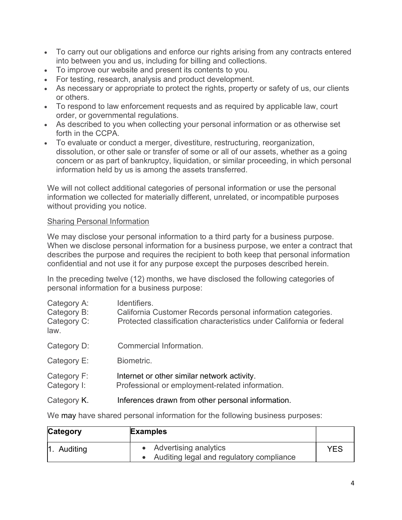- To carry out our obligations and enforce our rights arising from any contracts entered into between you and us, including for billing and collections.
- To improve our website and present its contents to you.
- For testing, research, analysis and product development.
- As necessary or appropriate to protect the rights, property or safety of us, our clients or others.
- To respond to law enforcement requests and as required by applicable law, court order, or governmental regulations.
- As described to you when collecting your personal information or as otherwise set forth in the CCPA.
- To evaluate or conduct a merger, divestiture, restructuring, reorganization, dissolution, or other sale or transfer of some or all of our assets, whether as a going concern or as part of bankruptcy, liquidation, or similar proceeding, in which personal information held by us is among the assets transferred.

We will not collect additional categories of personal information or use the personal information we collected for materially different, unrelated, or incompatible purposes without providing you notice.

# Sharing Personal Information

We may disclose your personal information to a third party for a business purpose. When we disclose personal information for a business purpose, we enter a contract that describes the purpose and requires the recipient to both keep that personal information confidential and not use it for any purpose except the purposes described herein.

In the preceding twelve (12) months, we have disclosed the following categories of personal information for a business purpose:

| Category A:<br>Category B:<br>Category C:<br>law. | Identifiers.<br>California Customer Records personal information categories.<br>Protected classification characteristics under California or federal |
|---------------------------------------------------|------------------------------------------------------------------------------------------------------------------------------------------------------|
| Category D:                                       | Commercial Information.                                                                                                                              |
| Category E:                                       | Biometric.                                                                                                                                           |
| Category F:<br>Category I:                        | Internet or other similar network activity.<br>Professional or employment-related information.                                                       |
| Category K.                                       | Inferences drawn from other personal information.                                                                                                    |

We may have shared personal information for the following business purposes:

| Category            | <b>Examples</b>                                                       |     |
|---------------------|-----------------------------------------------------------------------|-----|
| $\vert$ 1. Auditing | • Advertising analytics<br>• Auditing legal and regulatory compliance | YES |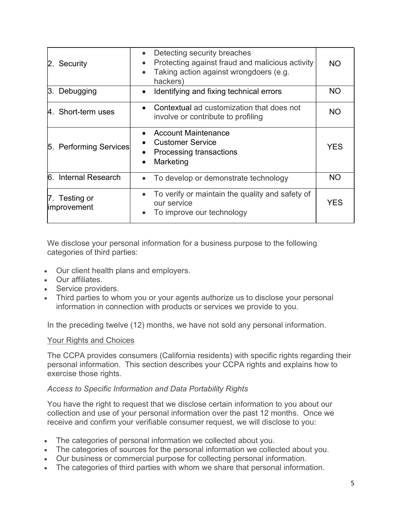| 2. Security                         | Detecting security breaches<br>Protecting against fraud and malicious activity<br>Taking action against wrongdoers (e.g.<br>hackers) | <b>NO</b>  |
|-------------------------------------|--------------------------------------------------------------------------------------------------------------------------------------|------------|
| 3. Debugging                        | Identifying and fixing technical errors                                                                                              | <b>NO</b>  |
| 4. Short-term uses                  | Contextual ad customization that does not<br>involve or contribute to profiling                                                      | <b>NO</b>  |
| 5. Performing Services              | <b>Account Maintenance</b><br><b>Customer Service</b><br>Processing transactions<br>Marketing                                        | <b>YES</b> |
| 6. Internal Research                | To develop or demonstrate technology                                                                                                 | <b>NO</b>  |
| 7. Testing or<br><i>improvement</i> | To verify or maintain the quality and safety of<br>our service<br>To improve our technology                                          | <b>YES</b> |

We disclose your personal information for a business purpose to the following categories of third parties:

- Our client health plans and employers.
- Our affiliates.
- Service providers.
- Third parties to whom you or your agents authorize us to disclose your personal information in connection with products or services we provide to you.

In the preceding twelve (12) months, we have not sold any personal information.

## Your Rights and Choices

The CCPA provides consumers (California residents) with specific rights regarding their personal information. This section describes your CCPA rights and explains how to exercise those rights.

### Access to Specific Information and Data Portability Rights

You have the right to request that we disclose certain information to you about our collection and use of your personal information over the past 12 months. Once we receive and confirm your verifiable consumer request, we will disclose to you:

- The categories of personal information we collected about you.
- The categories of sources for the personal information we collected about you.
- Our business or commercial purpose for collecting personal information.
- The categories of third parties with whom we share that personal information.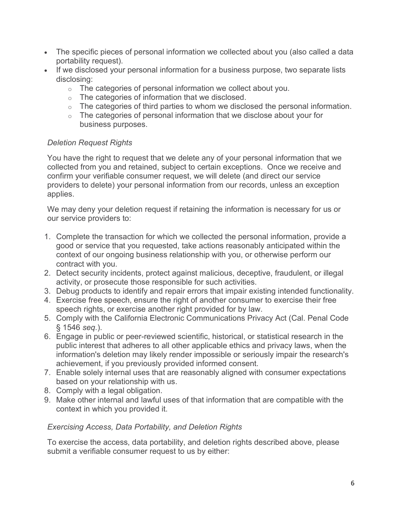- The specific pieces of personal information we collected about you (also called a data portability request).
- If we disclosed your personal information for a business purpose, two separate lists disclosing:
	- o The categories of personal information we collect about you.
	- $\circ$  The categories of information that we disclosed.
	- $\circ$  The categories of third parties to whom we disclosed the personal information.
	- $\circ$  The categories of personal information that we disclose about your for business purposes.

# Deletion Request Rights

You have the right to request that we delete any of your personal information that we collected from you and retained, subject to certain exceptions. Once we receive and confirm your verifiable consumer request, we will delete (and direct our service providers to delete) your personal information from our records, unless an exception applies.

We may deny your deletion request if retaining the information is necessary for us or our service providers to:

- 1. Complete the transaction for which we collected the personal information, provide a good or service that you requested, take actions reasonably anticipated within the context of our ongoing business relationship with you, or otherwise perform our contract with you.
- 2. Detect security incidents, protect against malicious, deceptive, fraudulent, or illegal activity, or prosecute those responsible for such activities.
- 3. Debug products to identify and repair errors that impair existing intended functionality.
- 4. Exercise free speech, ensure the right of another consumer to exercise their free speech rights, or exercise another right provided for by law.
- 5. Comply with the California Electronic Communications Privacy Act (Cal. Penal Code § 1546 seq.).
- 6. Engage in public or peer-reviewed scientific, historical, or statistical research in the public interest that adheres to all other applicable ethics and privacy laws, when the information's deletion may likely render impossible or seriously impair the research's achievement, if you previously provided informed consent.
- 7. Enable solely internal uses that are reasonably aligned with consumer expectations based on your relationship with us.
- 8. Comply with a legal obligation.
- 9. Make other internal and lawful uses of that information that are compatible with the context in which you provided it.

# Exercising Access, Data Portability, and Deletion Rights

To exercise the access, data portability, and deletion rights described above, please submit a verifiable consumer request to us by either: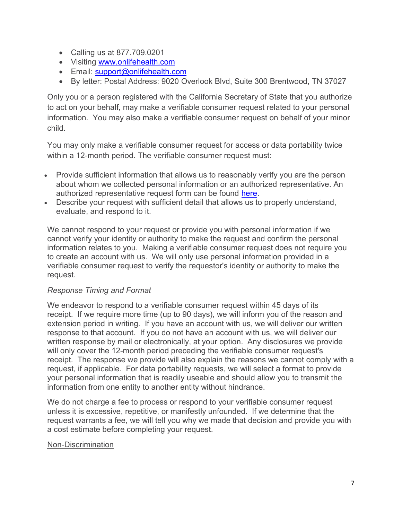- Calling us at 877.709.0201
- Visiting www.onlifehealth.com
- Email: support@onlifehealth.com
- By letter: Postal Address: 9020 Overlook Blvd, Suite 300 Brentwood, TN 37027

Only you or a person registered with the California Secretary of State that you authorize to act on your behalf, may make a verifiable consumer request related to your personal information. You may also make a verifiable consumer request on behalf of your minor child.

You may only make a verifiable consumer request for access or data portability twice within a 12-month period. The verifiable consumer request must:

- Provide sufficient information that allows us to reasonably verify you are the person about whom we collected personal information or an authorized representative. An authorized representative request form can be found here.
- Describe your request with sufficient detail that allows us to properly understand, evaluate, and respond to it.

We cannot respond to your request or provide you with personal information if we cannot verify your identity or authority to make the request and confirm the personal information relates to you. Making a verifiable consumer request does not require you to create an account with us. We will only use personal information provided in a verifiable consumer request to verify the requestor's identity or authority to make the request.

### Response Timing and Format

We endeavor to respond to a verifiable consumer request within 45 days of its receipt. If we require more time (up to 90 days), we will inform you of the reason and extension period in writing. If you have an account with us, we will deliver our written response to that account. If you do not have an account with us, we will deliver our written response by mail or electronically, at your option. Any disclosures we provide will only cover the 12-month period preceding the verifiable consumer request's receipt. The response we provide will also explain the reasons we cannot comply with a request, if applicable. For data portability requests, we will select a format to provide your personal information that is readily useable and should allow you to transmit the information from one entity to another entity without hindrance.

We do not charge a fee to process or respond to your verifiable consumer request unless it is excessive, repetitive, or manifestly unfounded. If we determine that the request warrants a fee, we will tell you why we made that decision and provide you with a cost estimate before completing your request.

### Non-Discrimination